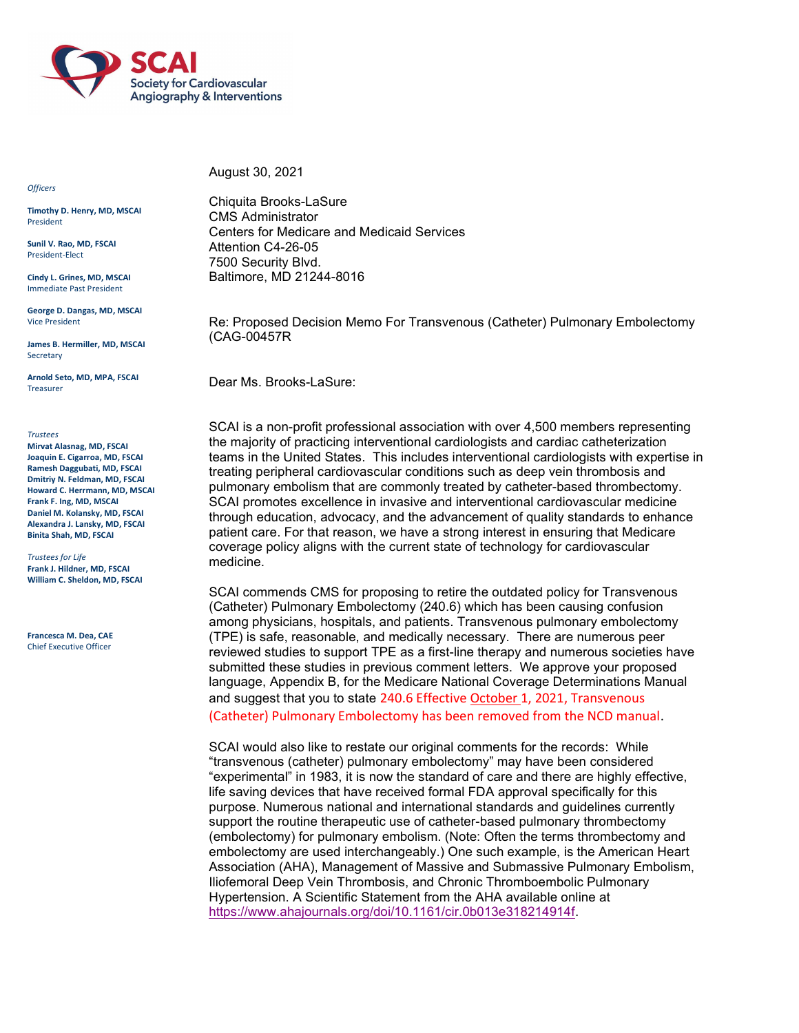

**Officers** 

Timothy D. Henry, MD, MSCAI President

Sunil V. Rao, MD, FSCAI President-Elect

Cindy L. Grines, MD, MSCAI Immediate Past President

George D. Dangas, MD, MSCAI Vice President

James B. Hermiller, MD, MSCAI Secretary

Arnold Seto, MD, MPA, FSCAI Treasurer

**Trustees** 

Mirvat Alasnag, MD, FSCAI Joaquin E. Cigarroa, MD, FSCAI Ramesh Daggubati, MD, FSCAI Dmitriy N. Feldman, MD, FSCAI Howard C. Herrmann, MD, MSCAI Frank F. Ing, MD, MSCAI Daniel M. Kolansky, MD, FSCAI Alexandra J. Lansky, MD, FSCAI Binita Shah, MD, FSCAI

Trustees for Life Frank J. Hildner, MD, FSCAI William C. Sheldon, MD, FSCAI

Francesca M. Dea, CAE Chief Executive Officer

August 30, 2021

Chiquita Brooks-LaSure CMS Administrator Centers for Medicare and Medicaid Services Attention C4-26-05 7500 Security Blvd. Baltimore, MD 21244-8016

Re: Proposed Decision Memo For Transvenous (Catheter) Pulmonary Embolectomy (CAG-00457R

Dear Ms. Brooks-LaSure:

SCAI is a non-profit professional association with over 4,500 members representing the majority of practicing interventional cardiologists and cardiac catheterization teams in the United States. This includes interventional cardiologists with expertise in treating peripheral cardiovascular conditions such as deep vein thrombosis and pulmonary embolism that are commonly treated by catheter-based thrombectomy. SCAI promotes excellence in invasive and interventional cardiovascular medicine through education, advocacy, and the advancement of quality standards to enhance patient care. For that reason, we have a strong interest in ensuring that Medicare coverage policy aligns with the current state of technology for cardiovascular medicine.

SCAI commends CMS for proposing to retire the outdated policy for Transvenous (Catheter) Pulmonary Embolectomy (240.6) which has been causing confusion among physicians, hospitals, and patients. Transvenous pulmonary embolectomy (TPE) is safe, reasonable, and medically necessary. There are numerous peer reviewed studies to support TPE as a first-line therapy and numerous societies have submitted these studies in previous comment letters. We approve your proposed language, Appendix B, for the Medicare National Coverage Determinations Manual and suggest that you to state 240.6 Effective October 1, 2021, Transvenous (Catheter) Pulmonary Embolectomy has been removed from the NCD manual.

SCAI would also like to restate our original comments for the records: While "transvenous (catheter) pulmonary embolectomy" may have been considered "experimental" in 1983, it is now the standard of care and there are highly effective, life saving devices that have received formal FDA approval specifically for this purpose. Numerous national and international standards and guidelines currently support the routine therapeutic use of catheter-based pulmonary thrombectomy (embolectomy) for pulmonary embolism. (Note: Often the terms thrombectomy and embolectomy are used interchangeably.) One such example, is the American Heart Association (AHA), Management of Massive and Submassive Pulmonary Embolism, Iliofemoral Deep Vein Thrombosis, and Chronic Thromboembolic Pulmonary Hypertension. A Scientific Statement from the AHA available online at https://www.ahajournals.org/doi/10.1161/cir.0b013e318214914f.